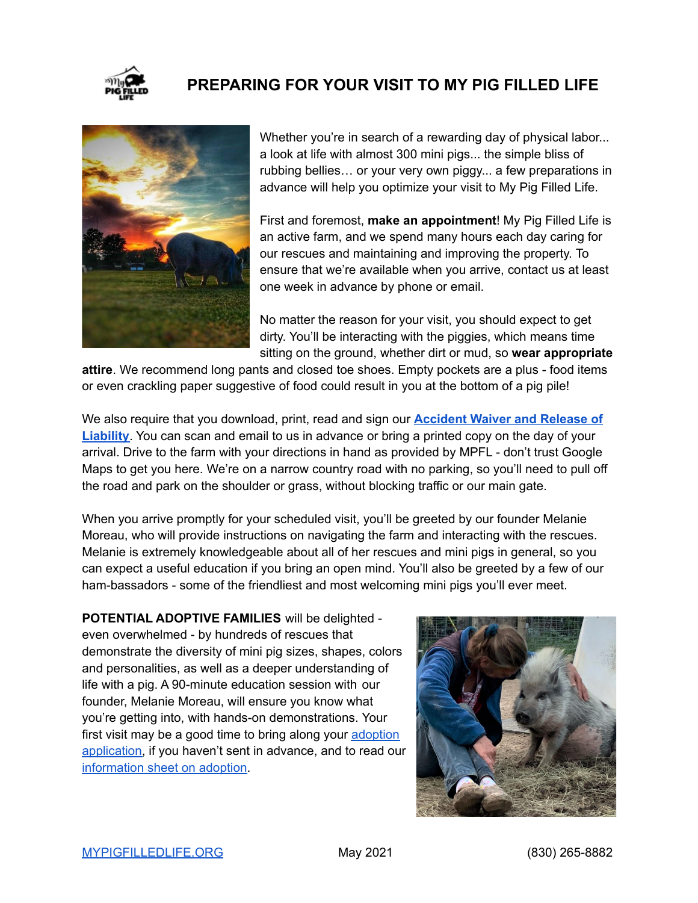

## **PREPARING FOR YOUR VISIT TO MY PIG FILLED LIFE**



Whether you're in search of a rewarding day of physical labor... a look at life with almost 300 mini pigs... the simple bliss of rubbing bellies… or your very own piggy... a few preparations in advance will help you optimize your visit to My Pig Filled Life.

First and foremost, **make an appointment**! My Pig Filled Life is an active farm, and we spend many hours each day caring for our rescues and maintaining and improving the property. To ensure that we're available when you arrive, contact us at least one week in advance by phone or email.

No matter the reason for your visit, you should expect to get dirty. You'll be interacting with the piggies, which means time sitting on the ground, whether dirt or mud, so **wear appropriate**

**attire**. We recommend long pants and closed toe shoes. Empty pockets are a plus - food items or even crackling paper suggestive of food could result in you at the bottom of a pig pile!

We also require that you download, print, read and sign our **[Accident](https://img1.wsimg.com/blobby/go/9af9769f-499b-435a-98f5-c34e5fc9fdfd/downloads/Accident_Waiver_and_Release_of_Liability_DAY%20V.doc?ver=1622072459814) Waiver and Release of [Liability](https://img1.wsimg.com/blobby/go/9af9769f-499b-435a-98f5-c34e5fc9fdfd/downloads/Accident_Waiver_and_Release_of_Liability_DAY%20V.doc?ver=1622072459814)**. You can scan and email to us in advance or bring a printed copy on the day of your arrival. Drive to the farm with your directions in hand as provided by MPFL - don't trust Google Maps to get you here. We're on a narrow country road with no parking, so you'll need to pull off the road and park on the shoulder or grass, without blocking traffic or our main gate.

When you arrive promptly for your scheduled visit, you'll be greeted by our founder Melanie Moreau, who will provide instructions on navigating the farm and interacting with the rescues. Melanie is extremely knowledgeable about all of her rescues and mini pigs in general, so you can expect a useful education if you bring an open mind. You'll also be greeted by a few of our ham-bassadors - some of the friendliest and most welcoming mini pigs you'll ever meet.

**POTENTIAL ADOPTIVE FAMILIES** will be delighted even overwhelmed - by hundreds of rescues that demonstrate the diversity of mini pig sizes, shapes, colors and personalities, as well as a deeper understanding of life with a pig. A 90-minute education session with our founder, Melanie Moreau, will ensure you know what you're getting into, with hands-on demonstrations. Your first visit may be a good time to bring along your [adoption](https://img1.wsimg.com/blobby/go/9af9769f-499b-435a-98f5-c34e5fc9fdfd/downloads/1c2i87kt7_503674.rtf?ver=1622072459814) [application,](https://img1.wsimg.com/blobby/go/9af9769f-499b-435a-98f5-c34e5fc9fdfd/downloads/1c2i87kt7_503674.rtf?ver=1622072459814) if you haven't sent in advance, and to read our [information](https://img1.wsimg.com/blobby/go/9af9769f-499b-435a-98f5-c34e5fc9fdfd/downloads/MPFLadoption.pdf?ver=1622072459660) sheet on adoption.